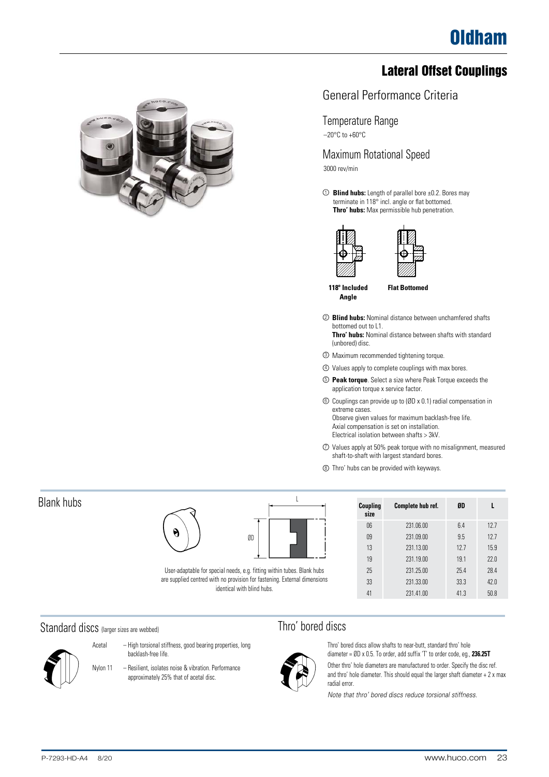## Lateral Offset Couplings



#### General Performance Criteria

#### Temperature Range

 $-20\textdegree$ C to  $+60\textdegree$ C

Maximum Rotational Speed 3000 rev/min

**Blind hubs:** Length of parallel bore ±0.2. Bores may 1 terminate in 118° incl. angle or flat bottomed. **Thro' hubs:** Max permissible hub penetration.





**118º Included Angle**

**Flat Bottomed**

<sup>2</sup> **Blind hubs:** Nominal distance between unchamfered shafts bottomed out to L1. **Thro' hubs:** Nominal distance between shafts with standard

(unbored) disc.

- 3 Maximum recommended tightening torque.
- 4 Values apply to complete couplings with max bores.
- 5 **Peak torque**. Select a size where Peak Torque exceeds the application torque x service factor.
- 6 Couplings can provide up to (ØD x 0.1) radial compensation in extreme cases. Observe given values for maximum backlash-free life. Axial compensation is set on installation. Electrical isolation between shafts > 3kV.
- 7 Values apply at 50% peak torque with no misalignment, measured shaft-to-shaft with largest standard bores.
- 8 Thro' hubs can be provided with keyways.

| Coupling<br>size | Complete hub ref. | ØD   |      |
|------------------|-------------------|------|------|
| 06               | 231.06.00         | 6.4  | 12.7 |
| 09               | 231.09.00         | 9.5  | 12.7 |
| 13               | 231.13.00         | 12.7 | 15.9 |
| 19               | 231.19.00         | 19.1 | 22.0 |
| 25               | 231, 25, 00       | 25.4 | 28.4 |
| 33               | 231.33.00         | 33.3 | 42.0 |
| 41               | 231.41.00         | 41.3 | 50.8 |

#### Standard discs (larger sizes are webbed)



Acetal – High torsional stiffness, good bearing properties, long backlash-free life.

User-adaptable for special needs, e.g. fitting within tubes. Blank hubs are supplied centred with no provision for fastening. External dimensions identical with blind hubs.

ØD

Nylon 11 – Resilient, isolates noise & vibration. Performance approximately 25% that of acetal disc.



 $\overline{\phantom{a}}$ 

Thro' bored discs allow shafts to near-butt, standard thro' hole diameter = ØD x 0.5. To order, add suffix 'T' to order code, eg., **236.25T**

Other thro' hole diameters are manufactured to order. Specify the disc ref. and thro' hole diameter. This should equal the larger shaft diameter + 2 x max radial error.

*Note that thro' bored discs reduce torsional stiffness.*

Blank hubs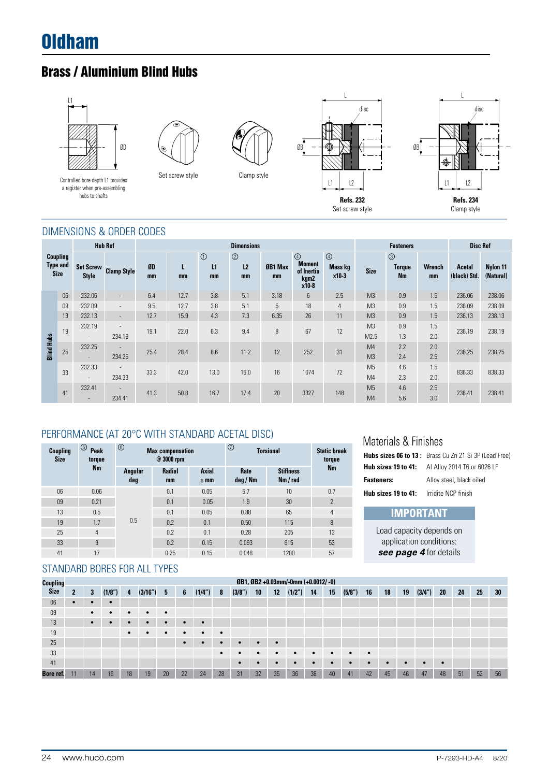# Oldham

# Brass / Aluminium Blind Hubs



Set screw style



#### DIMENSIONS & ORDER CODES

|                   |                                            |                                    | <b>Hub Ref</b>                     |          |         |                     | <b>Dimensions</b>                      |      |                                                                |                                     |                                  | <b>Fasteners</b>                             |                     | <b>Disc Ref</b>        |                       |  |
|-------------------|--------------------------------------------|------------------------------------|------------------------------------|----------|---------|---------------------|----------------------------------------|------|----------------------------------------------------------------|-------------------------------------|----------------------------------|----------------------------------------------|---------------------|------------------------|-----------------------|--|
|                   | Coupling<br><b>Type and</b><br><b>Size</b> | <b>Set Screw</b><br><b>Style</b>   | <b>Clamp Style</b>                 | ØD<br>mm | L<br>mm | $\odot$<br>L1<br>mm | $^{\circledR}$<br>L <sub>2</sub><br>mm |      | $\circledcirc$<br><b>Moment</b><br>of Inertia<br>kgm2<br>x10-8 | $\circled{4}$<br>Mass kg<br>$x10-3$ | <b>Size</b>                      | $\circledcirc$<br><b>Torque</b><br><b>Nm</b> | <b>Wrench</b><br>mm | Acetal<br>(black) Std. | Nylon 11<br>(Natural) |  |
|                   | 06                                         | 232.06                             | $\sim$                             | 6.4      | 12.7    | 3.8                 | 5.1                                    | 3.18 | 6                                                              | 2.5                                 | M <sub>3</sub>                   | 0.9                                          | 1.5                 | 236.06                 | 238.06                |  |
|                   | 09                                         | 232.09                             | $\overline{\phantom{a}}$           | 9.5      | 12.7    | 3.8                 | 5.1                                    | 5    | 18                                                             | $\overline{4}$                      | M <sub>3</sub>                   | 0.9                                          | 1.5                 | 236.09                 | 238.09                |  |
|                   | 13                                         | 232.13                             | $\overline{\phantom{a}}$           | 12.7     | 15.9    | 4.3                 | 7.3                                    | 6.35 | 26                                                             | 11                                  | M <sub>3</sub>                   | 0.9                                          | 1.5                 | 236.13                 | 238.13                |  |
|                   | 19                                         | 232.19<br>$\overline{\phantom{a}}$ | $\overline{\phantom{a}}$<br>234.19 | 19.1     | 22.0    | 6.3                 | 9.4                                    | 8    | 67                                                             | 12                                  | M <sub>3</sub><br>M2.5           | 0.9<br>1.3                                   | 1.5<br>2.0          | 236.19                 | 238.19                |  |
| <b>Blind Hubs</b> | 25                                         | 232.25<br>$\overline{\phantom{a}}$ | $\overline{\phantom{a}}$<br>234.25 | 25.4     | 28.4    | 8.6                 | 11.2                                   | 12   | 252                                                            | 31                                  | M <sub>4</sub><br>M <sub>3</sub> | 2.2<br>2.4                                   | 2.0<br>2.5          | 236.25                 | 238.25                |  |
|                   | 33                                         | 232.33<br>$\overline{\phantom{a}}$ | $\overline{\phantom{a}}$<br>234.33 | 33.3     | 42.0    | 13.0                | 16.0                                   | 16   | 1074                                                           | 72                                  | M <sub>5</sub><br>M <sub>4</sub> | 4.6<br>2.3                                   | 1.5<br>2.0          | 836.33                 | 838.33                |  |
|                   | 41                                         | 232.41                             | $\overline{\phantom{a}}$<br>234.41 | 41.3     | 50.8    | 16.7                | 17.4                                   | 20   | 3327                                                           | 148                                 | M <sub>5</sub><br>M <sub>4</sub> | 4.6<br>5.6                                   | 2.5<br>3.0          | 236.41                 | 238.41                |  |

#### PERFORMANCE (AT 20°C WITH STANDARD ACETAL DISC)

| <b>Coupling</b><br><b>Size</b> | $\circledS$<br><b>Peak</b><br>torque | $^{\circ}$     | <b>Max compensation</b><br>@ 3000 rpm |                 | $\circledcirc$<br><b>Torsional</b> | <b>Static break</b><br>torque |                |
|--------------------------------|--------------------------------------|----------------|---------------------------------------|-----------------|------------------------------------|-------------------------------|----------------|
|                                | <b>Nm</b>                            | Angular<br>deg | <b>Radial</b><br>mm                   | Axial<br>$±$ mm | Rate<br>deg / Nm                   | <b>Stiffness</b><br>Nm / rad  | <b>Nm</b>      |
| 06                             | 0.06                                 |                | 0.1                                   | 0.05            | 5.7                                | 10                            | 0.7            |
| 09                             | 0.21                                 |                | 0.1                                   | 0.05            | 1.9                                | 30                            | $\overline{2}$ |
| 13                             | 0.5                                  |                | 0.1                                   | 0.05            | 0.88                               | 65                            | 4              |
| 19                             | 1.7                                  | 0.5            | 0.2                                   | 0.1             | 0.50                               | 115                           | 8              |
| 25                             | 4                                    |                | 0.2                                   | 0.1             | 0.28                               | 205                           | 13             |
| 33                             | 9                                    |                | 0.2                                   | 0.15            | 0.093                              | 615                           | 53             |
| 41                             | 17                                   |                | 0.25                                  | 0.15            | 0.048                              | 1200                          | 57             |

#### STANDARD BORES FOR ALL TYPES

| <b>Coupling</b> | ØB1, ØB2 +0.03mm/-0mm (+0.0012/-0) |           |           |           |           |           |    |           |           |                      |           |           |           |    |           |           |           |           |           |           |           |    |    |    |
|-----------------|------------------------------------|-----------|-----------|-----------|-----------|-----------|----|-----------|-----------|----------------------|-----------|-----------|-----------|----|-----------|-----------|-----------|-----------|-----------|-----------|-----------|----|----|----|
| <b>Size</b>     |                                    | 3         | (1/8")    | 4         | (3/16")   | 5         | 6  | (1/4")    | -8        | (3/8 <sup>''</sup> ) | 10        | 12        | (1/2")    | 14 | 15        | (5/8")    | 16        | 18        | 19        | (3/4")    | 20        | 24 | 25 | 30 |
| 06              |                                    |           |           |           |           |           |    |           |           |                      |           |           |           |    |           |           |           |           |           |           |           |    |    |    |
| 09              |                                    | $\bullet$ | $\bullet$ | $\bullet$ | $\bullet$ | $\bullet$ |    |           |           |                      |           |           |           |    |           |           |           |           |           |           |           |    |    |    |
| 13              |                                    | $\bullet$ |           | $\bullet$ | c         |           |    |           |           |                      |           |           |           |    |           |           |           |           |           |           |           |    |    |    |
| 19              |                                    |           |           | $\bullet$ |           | $\bullet$ | ٠  | $\bullet$ | $\bullet$ |                      |           |           |           |    |           |           |           |           |           |           |           |    |    |    |
| 25              |                                    |           |           |           |           |           |    |           |           |                      |           | $\bullet$ |           |    |           |           |           |           |           |           |           |    |    |    |
| 33              |                                    |           |           |           |           |           |    |           |           |                      | $\bullet$ |           | $\bullet$ | ٠  | $\bullet$ | $\bullet$ | $\bullet$ |           |           |           |           |    |    |    |
| 41              |                                    |           |           |           |           |           |    |           |           |                      |           |           | ٠         |    | $\bullet$ | $\bullet$ | $\bullet$ | $\bullet$ | $\bullet$ | $\bullet$ | $\bullet$ |    |    |    |
| Bore ref.       | 11                                 | 14        | 16        | 18        | 19        | 20        | 22 | 24        | 28        | 31                   | 32        | 35        | 36        | 38 | 40        | 41        | 42        | 45        | 46        | 47        | 48        | 51 | 52 | 56 |

Load capacity depends on application conditions: *see page 4* for details

**IMPORTANT**

**Hubs sizes 06 to 13 :** Brass Cu Zn 21 Si 3P (Lead Free) **Hub sizes 19 to 41:** Al Alloy 2014 T6 or 6026 LF **Fasteners:** Alloy steel, black oiled **Hub sizes 19 to 41:** Irridite NCP finish

Materials & Finishes